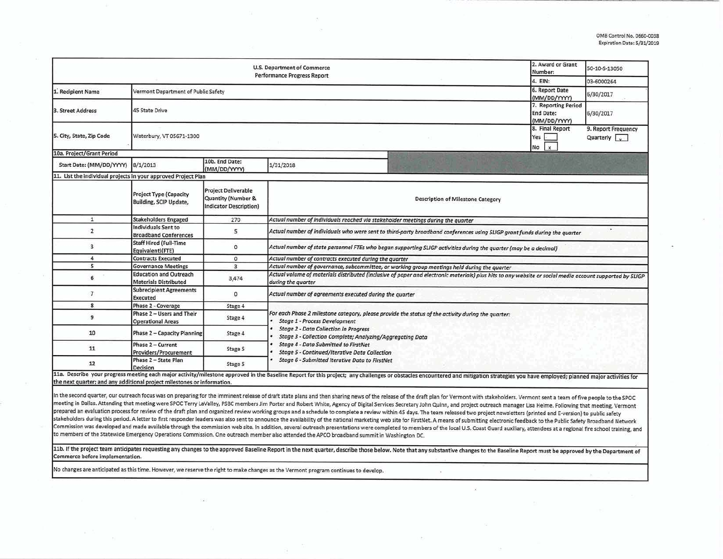| <b>U.S. Department of Commerce</b><br><b>Performance Progress Report</b>                                                                                                                                                             |                                                               |                                                                            |                                                                                                                                                                                |                                          |                                                         | 50-10-S-13050 |  |  |  |
|--------------------------------------------------------------------------------------------------------------------------------------------------------------------------------------------------------------------------------------|---------------------------------------------------------------|----------------------------------------------------------------------------|--------------------------------------------------------------------------------------------------------------------------------------------------------------------------------|------------------------------------------|---------------------------------------------------------|---------------|--|--|--|
|                                                                                                                                                                                                                                      | 4. EIN:                                                       | 03-6000264                                                                 |                                                                                                                                                                                |                                          |                                                         |               |  |  |  |
| 1. Recipient Name                                                                                                                                                                                                                    | Vermont Department of Public Safety                           | 6. Report Date<br>(MM/DD/YYYY)                                             | 6/30/2017                                                                                                                                                                      |                                          |                                                         |               |  |  |  |
| 3. Street Address                                                                                                                                                                                                                    | <b>45 State Drive</b>                                         |                                                                            |                                                                                                                                                                                |                                          | 7. Reporting Period<br><b>End Date:</b><br>(MM/DD/YYYY) | 6/30/2017     |  |  |  |
| 5. City, State, Zip Code                                                                                                                                                                                                             | Waterbury, VT 05671-1300                                      | 8. Final Report<br>Yes<br>$\mathbf{x}$<br>No                               | 9. Report Frequency<br>Quarterly $\sqrt{\sqrt{2}}$                                                                                                                             |                                          |                                                         |               |  |  |  |
| 10a. Project/Grant Period                                                                                                                                                                                                            |                                                               |                                                                            |                                                                                                                                                                                |                                          |                                                         |               |  |  |  |
| Start Date: (MM/DD/YYYY)                                                                                                                                                                                                             | 8/1/2013                                                      | 10b. End Date:<br>(MM/DD/YYYY)                                             | 1/31/2018                                                                                                                                                                      |                                          |                                                         |               |  |  |  |
| 11. List the individual projects in your approved Project Plan                                                                                                                                                                       |                                                               |                                                                            |                                                                                                                                                                                |                                          |                                                         |               |  |  |  |
|                                                                                                                                                                                                                                      | <b>Project Type (Capacity</b><br>Building, SCIP Update,       | <b>Project Deliverable</b><br>Quantity (Number &<br>Indicator Description) |                                                                                                                                                                                | <b>Description of Milestone Category</b> |                                                         |               |  |  |  |
| $\mathbf{1}$                                                                                                                                                                                                                         | <b>Stakeholders Engaged</b>                                   | 270                                                                        | Actual number of individuals reached via stakeholder meetings during the quarter                                                                                               |                                          |                                                         |               |  |  |  |
| $\overline{2}$                                                                                                                                                                                                                       | Individuals Sent to<br><b>Broadband Conferences</b>           | 5                                                                          | Actual number of individuals who were sent to third-party broadband conferences using SLIGP grant funds during the quarter                                                     |                                          |                                                         |               |  |  |  |
| 3                                                                                                                                                                                                                                    | <b>Staff Hired (Full-Time</b><br>Equivalent)(FTE)             | $\circ$                                                                    | Actual number of state personnel FTEs who began supporting SLIGP activities during the quarter (may be a decimal)                                                              |                                          |                                                         |               |  |  |  |
| 4                                                                                                                                                                                                                                    | <b>Contracts Executed</b>                                     | $\circ$                                                                    | Actual number of contracts executed during the quarter                                                                                                                         |                                          |                                                         |               |  |  |  |
| 5                                                                                                                                                                                                                                    | <b>Governance Meetings</b>                                    | $\overline{\mathbf{3}}$                                                    | Actual number of governance, subcommittee, or working group meetings held during the quarter                                                                                   |                                          |                                                         |               |  |  |  |
| 6                                                                                                                                                                                                                                    | <b>Education and Outreach</b><br><b>Materials Distributed</b> | 3,474                                                                      | Actual volume of materials distributed (inclusive of paper and electronic materials) plus hits to any website or social media account supported by SLIGP<br>during the quarter |                                          |                                                         |               |  |  |  |
| $\overline{7}$                                                                                                                                                                                                                       | <b>Subrecipient Agreements</b><br><b>Executed</b>             | $\circ$                                                                    | Actual number of agreements executed during the quarter                                                                                                                        |                                          |                                                         |               |  |  |  |
| 8                                                                                                                                                                                                                                    | Phase 2 - Coverage                                            | Stage 4                                                                    |                                                                                                                                                                                |                                          |                                                         |               |  |  |  |
| 9                                                                                                                                                                                                                                    | Phase 2 - Users and Their<br><b>Operational Areas</b>         | Stage 4                                                                    | For each Phase 2 milestone category, please provide the status of the activity during the quarter:<br><b>Stage 1 - Process Development</b>                                     |                                          |                                                         |               |  |  |  |
| 10                                                                                                                                                                                                                                   | <b>Phase 2 - Capacity Planning</b>                            | Stage 4                                                                    | <b>Stage 2 - Data Collection in Progress</b><br>Stage 3 - Collection Complete; Analyzing/Aggregating Data                                                                      |                                          |                                                         |               |  |  |  |
| 11                                                                                                                                                                                                                                   | Phase 2 - Current<br>Providers/Procurement                    | Stage 5                                                                    | <b>Stage 4 - Data Submitted to FirstNet</b><br><b>Stage 5 - Continued/Iterative Data Collection</b>                                                                            |                                          |                                                         |               |  |  |  |
| 12<br>11a. Describe your progress meeting each major activity/milestone approved in the Baseline Report for this project; any challenges or obstacles encountered and mitigation strategies you have employed; planned major activit | Phase 2 - State Plan<br>Decision                              | Stage 5                                                                    | Stage 6 - Submitted Iterative Data to FirstNet                                                                                                                                 |                                          |                                                         |               |  |  |  |

the next quarter; and any additional project milestones or information.

In the second quarter, our outreach focus was on preparing for the imminent release of draft state plans and then sharing news of the release of the draft plan for Vermont with stakeholders. Vermont sent a team of five peo meeting in Dallas. Attending that meeting were SPOC Terry LaValley, PSBC members Jim Porter and Robert White, Agency of Digital Services Secretary John Quinn, and project outreach manager Lisa Helme. Following that meeting prepared an evaluation process for review of the draft plan and organized review working groups and a schedule to complete a review within 45 days. The team released two project newsletters (printed and E-version) to publi stakeholders during this period. A letter to first responder leaders was also sent to announce the availability of the national marketing web site for FirstNet. A means of submitting electronic feedback to the Public Safet Commission was developed and made available through the commission web site. In addition, several outreach presentations were completed to members of the local U.S. Coast Guard auxiliary, attendees at a regional fire schoo to members of the Statewide Emergency Operations Commission. One outreach member also attended the APCO broadband summit in Washington DC.

11b. If the project team anticipates requesting any changes to the approved Baseline Report in the next quarter, describe those below. Note that any substantive changes to the Baseline Report must be approved by the Depart Commerce before implementation.

No changes are anticipated as this time. However, we reserve the right to make changes as the Vermont program continues to develop.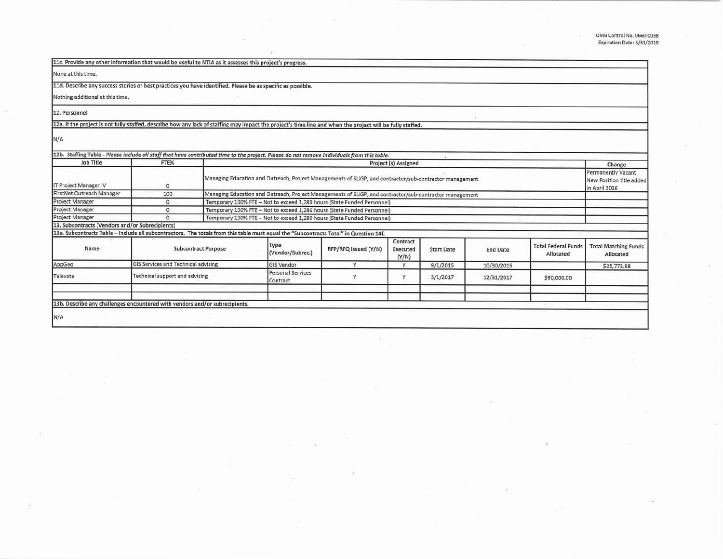i,

 $\overline{A}$  )

S.

78

| 11c. Provide any other information that would be useful to NTIA as it assesses this project's progress.                                                    |                                     |  |                                                                                                                                                                               |                      |                               |                   |                 |                                         |                                                |
|------------------------------------------------------------------------------------------------------------------------------------------------------------|-------------------------------------|--|-------------------------------------------------------------------------------------------------------------------------------------------------------------------------------|----------------------|-------------------------------|-------------------|-----------------|-----------------------------------------|------------------------------------------------|
| None at this time.                                                                                                                                         |                                     |  |                                                                                                                                                                               |                      |                               |                   |                 |                                         |                                                |
| 11d. Describe any success stories or best practices you have identified. Please be as specific as possible.                                                |                                     |  |                                                                                                                                                                               |                      |                               |                   |                 |                                         |                                                |
| Nothing additional at this time.                                                                                                                           |                                     |  |                                                                                                                                                                               |                      |                               |                   |                 |                                         |                                                |
| 12. Personnel                                                                                                                                              |                                     |  |                                                                                                                                                                               |                      |                               |                   |                 |                                         |                                                |
| 12a. If the project is not fully staffed, describe how any lack of staffing may impact the project's time line and when the project will be fully staffed. |                                     |  |                                                                                                                                                                               |                      |                               |                   |                 |                                         |                                                |
| N/A                                                                                                                                                        |                                     |  |                                                                                                                                                                               |                      |                               |                   |                 |                                         |                                                |
| Job Title                                                                                                                                                  | FTE%                                |  | 12b. Staffing Table - Please include all staff that have contributed time to the project. Please do not remove individuals from this table.<br>Project (s) Assigned<br>Change |                      |                               |                   |                 |                                         |                                                |
| IT Project Manager IV                                                                                                                                      | $\circ$                             |  | Managing Education and Outreach, Project Managements of SLIGP, and contractor/sub-contractor management<br>in April 2016                                                      |                      |                               |                   |                 |                                         | Permanently Vacant<br>New Position title added |
| FirstNet Outreach Manager                                                                                                                                  | 100                                 |  | Managing Education and Outreach, Project Managements of SLIGP, and contractor/sub-contractor management                                                                       |                      |                               |                   |                 |                                         |                                                |
| Project Manager                                                                                                                                            | $\circ$                             |  | Temporary 100% FTE - Not to exceed 1,280 hours (State Funded Personnel)                                                                                                       |                      |                               |                   |                 |                                         |                                                |
| Project Manager                                                                                                                                            | 0                                   |  | Temporary 100% FTE - Not to exceed 1,280 hours (State Funded Personnel)                                                                                                       |                      |                               |                   |                 |                                         |                                                |
| <b>Project Manager</b>                                                                                                                                     | $\circ$                             |  | Temporary 100% FTE - Not to exceed 1,280 hours (State Funded Personnel)                                                                                                       |                      |                               |                   |                 |                                         |                                                |
| 13. Subcontracts (Vendors and/or Subrecipients)                                                                                                            |                                     |  |                                                                                                                                                                               |                      |                               |                   |                 |                                         |                                                |
| 13a. Subcontracts Table - Include all subcontractors. The totals from this table must equal the "Subcontracts Total" in Question 14f.                      |                                     |  |                                                                                                                                                                               |                      |                               |                   |                 |                                         |                                                |
| Name                                                                                                                                                       | <b>Subcontract Purpose</b>          |  | Type<br>(Vendor/Subrec.)                                                                                                                                                      | RFP/RFQ Issued (Y/N) | Contract<br>Executed<br>(Y/N) | <b>Start Date</b> | <b>End Date</b> | <b>Total Federal Funds</b><br>Allocated | <b>Total Matching Funds</b><br>Allocated       |
| AppGeo                                                                                                                                                     | GIS Services and Technical advising |  | <b>GIS Vendor</b>                                                                                                                                                             | V                    | v                             | 9/1/2015          | 10/30/2015      |                                         | \$25,773.98                                    |
| Televate                                                                                                                                                   | Technical support and advising      |  | <b>Personal Services</b><br>Contract                                                                                                                                          |                      | Y                             | 3/1/2017          | 12/31/2017      | \$90,000.00                             |                                                |
|                                                                                                                                                            |                                     |  |                                                                                                                                                                               |                      |                               |                   |                 |                                         |                                                |
|                                                                                                                                                            |                                     |  |                                                                                                                                                                               |                      |                               |                   |                 |                                         |                                                |
| 13b. Describe any challenges encountered with vendors and/or subrecipients.                                                                                |                                     |  |                                                                                                                                                                               |                      |                               |                   |                 |                                         |                                                |
| N/A                                                                                                                                                        |                                     |  |                                                                                                                                                                               |                      |                               |                   |                 |                                         |                                                |

 $\sim$ 

s

 $\langle \hat{q}^{\dagger} \rangle$ 

 $\overline{\omega}$ 

 $\sim$ 

 $\mathcal{C}$ 

 $\geq$ 

œ

-39